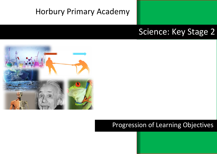# Horbury Primary Academy

## Science: Key Stage 2



### Progression of Learning Objectives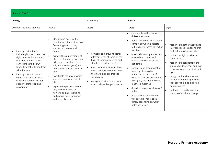| Science: Year 3 |
|-----------------|
|                 |

| <b>Biology</b>                                                                                                                                                                                                                                                                            |                                                                                                                                                                                                                                                                                                                                                                                                                | Chemistry                                                                                                                                                                                                                                                                                                      | Physics                                                                                                                                                                                                                                                                                                                                                                                                                           |                                                                                                                                                                                                                                                                                                                                             |
|-------------------------------------------------------------------------------------------------------------------------------------------------------------------------------------------------------------------------------------------------------------------------------------------|----------------------------------------------------------------------------------------------------------------------------------------------------------------------------------------------------------------------------------------------------------------------------------------------------------------------------------------------------------------------------------------------------------------|----------------------------------------------------------------------------------------------------------------------------------------------------------------------------------------------------------------------------------------------------------------------------------------------------------------|-----------------------------------------------------------------------------------------------------------------------------------------------------------------------------------------------------------------------------------------------------------------------------------------------------------------------------------------------------------------------------------------------------------------------------------|---------------------------------------------------------------------------------------------------------------------------------------------------------------------------------------------------------------------------------------------------------------------------------------------------------------------------------------------|
| Animals, including humans<br>identify that animals,                                                                                                                                                                                                                                       | Plants<br>identify and describe the<br>functions of different parts of<br>flowering plants: roots,<br>stem/trunk, leaves and<br>flowers                                                                                                                                                                                                                                                                        | Rocks                                                                                                                                                                                                                                                                                                          | Forces<br>compare how things move on<br>different surfaces<br>notice that some forces need<br>contact between 2 objects,<br>but magnetic forces can act at<br>a distance                                                                                                                                                                                                                                                          | Light<br>recognise that they need light<br>in order to see things and that<br>dark is the absence of light                                                                                                                                                                                                                                  |
| including humans, need the<br>right types and amount of<br>nutrition, and that they<br>cannot make their own<br>food; they get nutrition from<br>what they eat<br>identify that humans and<br>some other animals have<br>skeletons and muscles for<br>support, protection and<br>movement | explore the requirements of<br>$\bullet$<br>plants for life and growth (air,<br>light, water, nutrients from<br>soil, and room to grow) and<br>how they vary from plant to<br>plant<br>investigate the way in which<br>water is transported within<br>plants<br>explore the part that flowers<br>play in the life cycle of<br>flowering plants, including<br>pollination, seed formation<br>and seed dispersal | compare and group together<br>different kinds of rocks on the<br>basis of their appearance and<br>simple physical properties<br>describe in simple terms how<br>fossils are formed when things<br>that have lived are trapped<br>within rock<br>recognise that soils are made<br>from rocks and organic matter | observe how magnets attract<br>or repel each other and<br>attract some materials and<br>not others<br>compare and group together<br>a variety of everyday<br>materials on the basis of<br>whether they are attracted to<br>a magnet, and identify some<br>magnetic materials<br>describe magnets as having 2<br>poles<br>predict whether 2 magnets<br>will attract or repel each<br>other, depending on which<br>poles are facing | notice that light is reflected<br>from surfaces<br>recognise that light from the<br>sun can be dangerous and that<br>there are ways to protect their<br>eyes<br>recognise that shadows are<br>formed when the light from a<br>light source is blocked by an<br>opaque object<br>find patterns in the way that<br>the size of shadows change |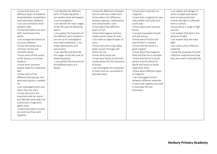| I can Identify the different<br>I know the difference between<br>I can explain the danger of<br>I know that there are<br>I know what materials are<br>different types of skeletons<br>parts of flowering plants. I<br>natural and man-made rocks.<br>direct sunlight and explain<br>magnetic.<br>I know about the difference<br>(endoskeleton, exoskeleton<br>can predict what will happen<br>I know that a magnet has two<br>how to keep protected.<br>and hydrostatic skeleton)<br>sides called north pole and<br>I know that light is reflected<br>in an investigation.<br>between igneous, sedimentary<br>from a surface.<br>I can sort animals by their<br>I can identify the main stages<br>and metamorphic rocks.<br>south pole.<br>I know about the different<br>skeleton type.<br>of the life cycle of flowering<br>I know about push and pull<br>I know about a range of light<br>I know that babies are born<br>layers of soil.<br>plants.<br>forces.<br>sources.<br>with more bones than<br>I can explain the functions of<br>I know that magma and lava<br>I can explain that dark is the<br>I can give examples of push<br>adults.<br>the different parts of plants. I<br>create certain types of rocks.<br>and pull forces.<br>absence of light.<br>I know about friction and<br>I can arrange the bones on<br>can set up an investigation<br>I can name a range of types of<br>I can explain why we need<br>a human skeleton.<br>and make predictions. I can<br>how friction is created.<br>light.<br>rocks.<br>I know that some rocks allow<br>I know that bones have<br>make observations and<br>I know that the Earth is a<br>I can name some reflective<br>conclusions.<br>water to pass through and<br>materials.<br>common names and<br>giant magnet.<br>scientific names.<br>I can identify and describe<br>others do not.<br>I know about the magnetic<br>I know the purposes of some<br>I know some of the names<br>I know what fossils are.<br>field and that this is invisible.<br>reflective materials and how<br>the stages of the life cycle of<br>of the bones on a human<br>I know how fossils are formed.<br>I know that North to South<br>they are used in everyday life.<br>flowering plants.<br>attract and that North to<br>I can explain the functions of<br>I know about the first discovery<br>skeleton.<br>I know what nutrients<br>the different parts of a<br>of fossils.<br>North and South to South<br>flower.<br>I can investigate the properties<br>people need for a balanced<br>repel each other.<br>of rocks and can use words to<br>diet.<br>I know about different types<br>I know some of the<br>describe these.<br>of magnets.<br>different food groups and<br>I can investigate friction<br>between different materials.<br>what each group is needed<br>for.<br>I know how magnets are used<br>in everyday life and<br>I can investigate joints and<br>when they are used.<br>inventions.<br>I know why joints are<br>important and can name<br>and identify some (ball and<br>socket joint, hinge joint,<br>glider joint)<br>I understand what muscles |
|-----------------------------------------------------------------------------------------------------------------------------------------------------------------------------------------------------------------------------------------------------------------------------------------------------------------------------------------------------------------------------------------------------------------------------------------------------------------------------------------------------------------------------------------------------------------------------------------------------------------------------------------------------------------------------------------------------------------------------------------------------------------------------------------------------------------------------------------------------------------------------------------------------------------------------------------------------------------------------------------------------------------------------------------------------------------------------------------------------------------------------------------------------------------------------------------------------------------------------------------------------------------------------------------------------------------------------------------------------------------------------------------------------------------------------------------------------------------------------------------------------------------------------------------------------------------------------------------------------------------------------------------------------------------------------------------------------------------------------------------------------------------------------------------------------------------------------------------------------------------------------------------------------------------------------------------------------------------------------------------------------------------------------------------------------------------------------------------------------------------------------------------------------------------------------------------------------------------------------------------------------------------------------------------------------------------------------------------------------------------------------------------------------------------------------------------------------------------------------------------------------------------------------------------------------------------------------------------------------------------------------------------------------------------------------------------------------------------------------------------------------------------------------------------------------------------------------------------------------------------------------------------------------------------------------------------------------------------------------------------------------------------------------------------------------------------------------------------------------------------|
| are and how they work<br>together.                                                                                                                                                                                                                                                                                                                                                                                                                                                                                                                                                                                                                                                                                                                                                                                                                                                                                                                                                                                                                                                                                                                                                                                                                                                                                                                                                                                                                                                                                                                                                                                                                                                                                                                                                                                                                                                                                                                                                                                                                                                                                                                                                                                                                                                                                                                                                                                                                                                                                                                                                                                                                                                                                                                                                                                                                                                                                                                                                                                                                                                                              |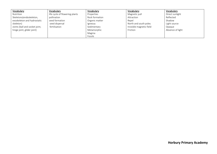| Vocabulary                     | Vocabulary                     | Vocabulary     | Vocabulary               | Vocabulary       |
|--------------------------------|--------------------------------|----------------|--------------------------|------------------|
| Nutrition                      | life cycle of flowering plants | Properties     | Magnetic pull            | Direct sunlight  |
| Skeletons(endoskeleton,        | pollination                    | Rock formation | Attraction               | Reflected        |
| exoskeleton and hydrostatic    | seed formation                 | Organic matter | Repel                    | Shadow           |
| skeleton)                      | seed dispersal                 | Igneous        | North and south poles    | Light source     |
| Joints (ball and socket joint, | fertilisation                  | Sedimentary    | Invisible magnetic field | Opaque           |
| hinge joint, glider joint)     |                                | Metamorphic    | Friction                 | Absence of light |
|                                |                                | Magma          |                          |                  |
|                                |                                | Fossils        |                          |                  |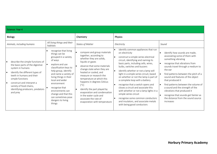| Science: Year 4                                                                                                                                                                                                                                                                      |                                                                                                                                                                                                                                                                                                                                                        |                                                                                                                                                                                                                                                                                                                                                                                                                                                                                |                                                                                                                                                                                                                                                                                                                                                                                                                                                                                                                                                                                                                                   |                                                                                                                                                                                                                                                                                                                                                                                                                                                                                                                             |  |  |
|--------------------------------------------------------------------------------------------------------------------------------------------------------------------------------------------------------------------------------------------------------------------------------------|--------------------------------------------------------------------------------------------------------------------------------------------------------------------------------------------------------------------------------------------------------------------------------------------------------------------------------------------------------|--------------------------------------------------------------------------------------------------------------------------------------------------------------------------------------------------------------------------------------------------------------------------------------------------------------------------------------------------------------------------------------------------------------------------------------------------------------------------------|-----------------------------------------------------------------------------------------------------------------------------------------------------------------------------------------------------------------------------------------------------------------------------------------------------------------------------------------------------------------------------------------------------------------------------------------------------------------------------------------------------------------------------------------------------------------------------------------------------------------------------------|-----------------------------------------------------------------------------------------------------------------------------------------------------------------------------------------------------------------------------------------------------------------------------------------------------------------------------------------------------------------------------------------------------------------------------------------------------------------------------------------------------------------------------|--|--|
| <b>Biology</b>                                                                                                                                                                                                                                                                       |                                                                                                                                                                                                                                                                                                                                                        | Chemistry                                                                                                                                                                                                                                                                                                                                                                                                                                                                      | Physics                                                                                                                                                                                                                                                                                                                                                                                                                                                                                                                                                                                                                           |                                                                                                                                                                                                                                                                                                                                                                                                                                                                                                                             |  |  |
| Animals, including humans                                                                                                                                                                                                                                                            | All living things and their<br>habitats                                                                                                                                                                                                                                                                                                                | <b>States of Matter</b>                                                                                                                                                                                                                                                                                                                                                                                                                                                        | Electricity                                                                                                                                                                                                                                                                                                                                                                                                                                                                                                                                                                                                                       | Sound                                                                                                                                                                                                                                                                                                                                                                                                                                                                                                                       |  |  |
| describe the simple functions of<br>the basic parts of the digestive<br>system in humans<br>identify the different types of<br>teeth in humans and their<br>simple functions<br>construct and interpret a<br>variety of food chains,<br>identifying producers, predators<br>and prey | recognise that living<br>things can be<br>grouped in a variety<br>of ways<br>explore and use<br>classification keys to<br>help group, identify<br>and name a variety of<br>living things in their<br>local and wider<br>environment<br>recognise that<br>environments can<br>change and that this<br>can sometimes pose<br>dangers to living<br>things | compare and group materials<br>$\bullet$<br>together, according to<br>whether they are solids,<br>liquids or gases<br>observe that some materials<br>change state when they are<br>heated or cooled, and<br>measure or research the<br>temperature at which this<br>happens in degrees Celsius<br>$(^{\circ}C)$<br>identify the part played by<br>$\bullet$<br>evaporation and condensation<br>in the water cycle and<br>associate the rate of<br>evaporation with temperature | identify common appliances that run<br>on electricity<br>construct a simple series electrical<br>circuit, identifying and naming its<br>basic parts, including cells, wires,<br>bulbs, switches and buzzers<br>identify whether or not a lamp will<br>light in a simple series circuit, based<br>on whether or not the lamp is part of<br>a complete loop with a battery<br>recognise that a switch opens and<br>closes a circuit and associate this<br>with whether or not a lamp lights in a<br>simple series circuit<br>recognise some common conductors<br>and insulators, and associate metals<br>with being good conductors | identify how sounds are made,<br>$\bullet$<br>associating some of them with<br>something vibrating<br>recognise that vibrations from<br>$\bullet$<br>sounds travel through a medium to<br>the ear<br>find patterns between the pitch of a<br>sound and features of the object<br>that produced it<br>find patterns between the volume of<br>l e i<br>a sound and the strength of the<br>vibrations that produced it<br>recognise that sounds get fainter as<br>$\bullet$<br>the distance from the sound source<br>increases |  |  |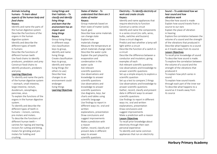#### Animals including humans - *To learn about aspects of the human body and food chains* Keyacs:

Identify and name the parts of the human digestive system Describe the functions of the organs in the human digestive system Identify and describe the different types of teeth in humans Describe the functions of different human teeth Use food chains to identify producers, predators and prey Construct food chains to identify producers, predators and prey

#### Learning Objectives

To identify and name the parts of the human digestive system – stomach, small intestine, large intestine, rectum, duodenum, oesophagus, pancreas, anus. To explain the functions of the organs in the human digestive system. To identify and describe the different types of teeth in humans – incisors, canines, pre-molars and molars. To describe the functions of different human teeth – canines for ripping and tearing, incisors for cutting and biting, molars for grinding and premolars for holding and crushing.

Living things and their habitats *– To classify and identify living things and learn that the environment has an impact upon living things* Keyacs Group living things in different ways Use classification keys to group, identify and name living things Create classification keys to group, identify and name living things (for others to use) Describe how changes to an environment could endanger living things Learning Objectives

#### States of Matter *- To understand that there are 3 states of matter* Keyacs:

Group materials based on their state of matter (solid, liquid, gas) Describe how some materials can change state Explore how materials change Measure the temperature at which materials change state Describe the water cycle Explain the part played by evaporation and condensation in the water cycle Ask relevant scientific questions Use observations and knowledge to answer scientific questions Use observations and knowledge to answer scientific questions Use diagrams, keys, bar charts and tables using scientific language Use findings to report in different ways inc. oral and written explanations, presentation Draw conclusions and suggest improvements Make a prediction with a reason Gather, record, classify and present data in different ways to answer scientific questions

#### Electricity – *To Identify electricity at work and create circuits* Keyacs:

Identify and name appliances that require electricity to function Construct a series circuit Identify and name the components in a series circuit (inc cells, wires, bulbs, switches and buzzers) Draw a circuit diagram Predict and test whether a lamp will light within a circuit Describe the function of a switch in a circuit Describe the difference between a conductor and insulators; giving examples of each Ask relevant scientific questions Use observations and knowledge to answer scientific questions Set up a simple enquiry to explore a scientific question Set up a test to compare 2 things Use observations and knowledge to answer scientific questions Gather, record, classify and present data in different ways to answer scientific questions Use findings to report in different ways inc. oral and written explanations, presentation Draw conclusions and suggest improvements Make a prediction with a reason Lesson Objectives To recall prior knowledge about electricity through their own personal experience To identify and name common appliances that run on electricity

#### Sound – *To understand how we hear sound and how vibrations work*

Describe how sound is made Explain how sound travels from a source to our ears Explain the place of vibration in hearing Explore the correlation between the volume of a sound and the strength of the vibrations that produced it Describe what happens to a sound as it travels away from its source Lesson Objectives

To recall prior knowledge of sound To describe how sound is made. To explore the correlation between the volume of a sound and the strength of the vibrations that produced it To explain how pitch varies in sound.

To explain how sound travels through each part of the inner ear To describe what happens to a sound as it travels away from its source

**Horbury Primary Academy**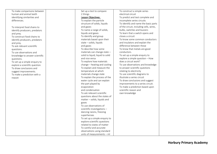| To make comparisons between    | Set up a test to compare         | To construct a simple series            |  |
|--------------------------------|----------------------------------|-----------------------------------------|--|
| human and animal teeth         | 2 things                         | electrical circuit                      |  |
| identifying similarities and   | Lesson Objectives:               | To predict and test complete and        |  |
| differences.                   | To explain the particle          | incomplete series circuits              |  |
|                                | structure of solids, liquids     | To identify and name the basic parts    |  |
| To interpret food chains to    | and gases                        | of the circuit, including cells, wires, |  |
| identify producers, predators  | To name a range of solids,       | bulbs, switches and buzzers             |  |
| and prey.                      | liquids and gases                | To learn that a switch opens and        |  |
| To construct food chains to    | To identify and group            | closes a circuit                        |  |
| identify producers, predators  | materials based upon their       | To know some common conductors          |  |
| and prey.                      | state - solids, liquids          | and insulators and explain the          |  |
| To ask relevant scientific     | and gases                        | difference between these                |  |
| questions.                     | To describe how some             | To know that metals are good            |  |
| To use observations and        | materials can change state -     | conductors.                             |  |
| knowledge to answer scientific | solid to liquid, liquid to solid | To set up a simple enquiry to           |  |
| questions.                     | and vice versa                   | explore a simple question - How         |  |
| To set up a simple enquiry to  | To explore how materials         | does a circuit work?                    |  |
| explore a scientific question. | change - heating and cooling     | To use observations and knowledge       |  |
| To draw conclusions and        | To explain and measure the       | to answer scientific questions          |  |
| suggest improvements.          | temperature at which             | relating to electricity                 |  |
| To make a prediction with a    | materials change state           | To use scientific diagrams to           |  |
| reason                         | To explain the process of the    | illustrate a series circuit             |  |
|                                | water cycle and can explain      | To draw conclusions and suggest         |  |
|                                | the part played by               | improvements to a series circuit.       |  |
|                                | evaporation                      | To make a prediction based upon         |  |
|                                | and condensation                 | scientific reason and                   |  |
|                                | To ask relevant scientific       | own knowledge                           |  |
|                                | questions about the states of    |                                         |  |
|                                | matter - solids, liquids and     |                                         |  |
|                                | gases                            |                                         |  |
|                                | To use observations of           |                                         |  |
|                                | scientific investigations -      |                                         |  |
|                                | dancing raisins, freezing        |                                         |  |
|                                | superheroes                      |                                         |  |
|                                | To set up a simple enquiry to    |                                         |  |
|                                | explore scientific questions     |                                         |  |
|                                | related to states of matter      |                                         |  |
|                                | To careful and accurate          |                                         |  |
|                                | observations using standard      |                                         |  |
|                                | units of measurements - ml       |                                         |  |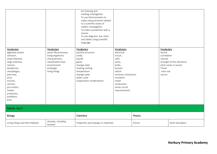|                                                                                                                                                                                                                                        |                                                                                                                                              | for freezing and<br>melting investigation<br>To use thermometers to<br>make measurements related<br>to a scientific states of<br>matter investigation<br>To make a prediction with a<br>reason<br>To use diagrams, bar chats<br>and tables using scientific<br>language |                                                                                                                                                                                      |         |                                                                               |                                                     |
|----------------------------------------------------------------------------------------------------------------------------------------------------------------------------------------------------------------------------------------|----------------------------------------------------------------------------------------------------------------------------------------------|-------------------------------------------------------------------------------------------------------------------------------------------------------------------------------------------------------------------------------------------------------------------------|--------------------------------------------------------------------------------------------------------------------------------------------------------------------------------------|---------|-------------------------------------------------------------------------------|-----------------------------------------------------|
| Vocabulary<br>digestive system<br>stomach,<br>small intestine,<br>large intestine,<br>rectum,<br>duodenum,<br>oesophagus,<br>pancreas,<br>anus.<br>incisors,<br>canines,<br>pre-molars,<br>molars.<br>producers,<br>predators<br>prey. | Vocabulary<br>seven life processes<br>living organisms<br>characteristics<br>classification keys<br>environment<br>endanger<br>living things | Vocabulary<br>particle structure<br>solids,<br>liquids<br>gases<br>change state<br>heating cooling<br>temperature<br>change state<br>water cycle<br>evaporation condensation                                                                                            | Vocabulary<br>electrical<br>circuit,<br>cells,<br>wires,<br>bulbs,<br>buzzers<br>switch<br>common conductors<br>insulators<br>metal<br>conductors.<br>series circuit<br>improvements |         | Vocabulary<br>Sound<br>correlation<br>volume<br>Travel<br>inner ear<br>source | strength of the vibrations<br>pitch varies in sound |
| Science: Year 5                                                                                                                                                                                                                        |                                                                                                                                              |                                                                                                                                                                                                                                                                         |                                                                                                                                                                                      |         |                                                                               |                                                     |
| Biology                                                                                                                                                                                                                                |                                                                                                                                              | Chemistry                                                                                                                                                                                                                                                               |                                                                                                                                                                                      | Physics |                                                                               |                                                     |
| Living things and their habitats                                                                                                                                                                                                       | Animals, including<br>humans                                                                                                                 | Properties and changes in materials<br>Forces                                                                                                                                                                                                                           |                                                                                                                                                                                      |         | Earth and Space                                                               |                                                     |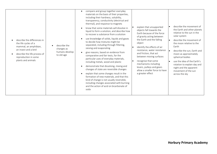| describe the differences in<br>the life cycles of a<br>describe the<br>mammal, an amphibian,<br>changes as<br>an insect and a bird<br>humans develop<br>describe the life process of<br>to old age<br>reproduction in some<br>plants and animals | compare and group together everyday<br>materials on the basis of their properties,<br>including their hardness, solubility,<br>transparency, conductivity (electrical and<br>thermal), and response to magnets<br>know that some materials will dissolve in<br>liquid to form a solution, and describe how<br>to recover a substance from a solution<br>use knowledge of solids, liquids and gases<br>to decide how mixtures might be<br>separated, including through filtering,<br>sieving and evaporating<br>give reasons, based on evidence from<br>comparative and fair tests, for the<br>particular uses of everyday materials,<br>including metals, wood and plastic<br>demonstrate that dissolving, mixing and<br>changes of state are reversible changes<br>explain that some changes result in the<br>formation of new materials, and that this<br>kind of change is not usually reversible,<br>including changes associated with burning<br>and the action of acid on bicarbonate of<br>soda | explain that unsupported<br>objects fall towards the<br>Earth because of the force<br>of gravity acting between<br>the Earth and the falling<br>object<br>identify the effects of air<br>resistance, water resistance<br>and friction, that act<br>between moving surfaces<br>recognise that some<br>mechanisms including<br>levers, pulleys and gears<br>allow a smaller force to have<br>a greater effect | describe the movement of<br>the Earth and other planets<br>relative to the sun in the<br>solar system<br>describe the movement of<br>the moon relative to the<br>Earth<br>describe the sun, Earth and<br>moon as approximately<br>spherical bodies<br>use the idea of the Earth's<br>rotation to explain day and<br>night and the apparent<br>movement of the sun<br>across the sky |
|--------------------------------------------------------------------------------------------------------------------------------------------------------------------------------------------------------------------------------------------------|--------------------------------------------------------------------------------------------------------------------------------------------------------------------------------------------------------------------------------------------------------------------------------------------------------------------------------------------------------------------------------------------------------------------------------------------------------------------------------------------------------------------------------------------------------------------------------------------------------------------------------------------------------------------------------------------------------------------------------------------------------------------------------------------------------------------------------------------------------------------------------------------------------------------------------------------------------------------------------------------------------|-------------------------------------------------------------------------------------------------------------------------------------------------------------------------------------------------------------------------------------------------------------------------------------------------------------------------------------------------------------------------------------------------------------|-------------------------------------------------------------------------------------------------------------------------------------------------------------------------------------------------------------------------------------------------------------------------------------------------------------------------------------------------------------------------------------|
|--------------------------------------------------------------------------------------------------------------------------------------------------------------------------------------------------------------------------------------------------|--------------------------------------------------------------------------------------------------------------------------------------------------------------------------------------------------------------------------------------------------------------------------------------------------------------------------------------------------------------------------------------------------------------------------------------------------------------------------------------------------------------------------------------------------------------------------------------------------------------------------------------------------------------------------------------------------------------------------------------------------------------------------------------------------------------------------------------------------------------------------------------------------------------------------------------------------------------------------------------------------------|-------------------------------------------------------------------------------------------------------------------------------------------------------------------------------------------------------------------------------------------------------------------------------------------------------------------------------------------------------------------------------------------------------------|-------------------------------------------------------------------------------------------------------------------------------------------------------------------------------------------------------------------------------------------------------------------------------------------------------------------------------------------------------------------------------------|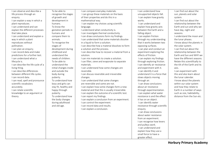| I can observe and describe a<br>life process through an<br>enquiry.<br>I can explain a way in which a<br>plant reproduces.<br>I can understand and can<br>explain the different processes<br>that take place.<br>I can understand and explain a<br>way in which a plant<br>reproduces without<br>pollination.<br>I can plan an enquiry.<br>I can record data and make<br>predictions for a further test.<br>I can understand what a<br>lifecycle is.<br>I can describe the life cycle of a<br>living thing.<br>I can describe differences<br>between different life cycles.<br>I can record data.<br>I can read, spell and pronounce<br>scientific vocabulary<br>accurately.<br>I can relate scientific<br>knowledge to an argument or<br>theory. | To be able to<br>recognise the stages<br>of growth and<br>development in<br>humans.<br>To know the<br>gestation periods in<br>humans and<br>compare them to<br>animals.<br>To recognise the<br>stages of<br>development during<br>childhood and<br>understand the<br>needs of children.<br>To be able to<br>understand the<br>initial changes inside<br>and outside the<br>body during<br>puberty.<br>To understand how<br>boys and girls can<br>stay fit, healthy and<br>happy through<br>puberty.<br>To understand how<br>the body changes<br>during adulthood<br>and old age. | I can compare everyday materials.<br>I can group these materials on the basis<br>of their properties and do this in a<br>mathematical way.<br>I can explain my choices using scientific<br>language.<br>I understand what conductivity is.<br>I can investigate thermal conductivity.<br>I can draw conclusions form my findings.<br>I can understand that some materials dissolve<br>in a liquid to form a solution.<br>I can describe how a material dissolves to form<br>a solution and the process.<br>I can describe how to recover a material from a<br>solution.<br>I can mix materials to create a solution.<br>I can filter, sieve and evaporate to separate<br>materials.<br>I can understand how some changes are<br>reversible.<br>I can discuss reversible and irreversible<br>changes.<br>I can understand that some changes<br>are reversible and some are not.<br>I can explain how some changes form a new<br>material and that this is usually irreversible.<br>I can explain the outcome of a scientific test.<br>I can report my findings.<br>I can explain a conclusion from an experiment.<br>I can control the experiment.<br>I can record data and results.<br>I can explain a conclusion. | I can understand how<br>unsupported objects fall.<br>I can explain how gravity<br>works.<br>I can understand and<br>explain how gravity acts<br>between the Earth and a<br>falling object.<br>I can explain friction<br>through my understanding<br>that it works between two<br>opposing surfaces.<br>I can plan and conduct an<br>experiment exploring the<br>effects of friction.<br>I can explain my findings<br>through exploring friction.<br>I can identify air resistance<br>and experiment with it.<br>I can identify it and<br>understand it is a force that<br>slows objects moving<br>through air.<br>I can draw conclusions<br>about air resistance<br>through experimentation.<br>I can explain what water<br>resistance is and the effect<br>it has on an object.<br>I can identify water<br>resistance through scientific<br>enquiry.<br>I can draw conclusions<br>about water resistance | I can find out about the<br>sun, planets and solar<br>system.<br>I can find out about the<br>relationship between the<br>Earth and sun and why we<br>have day, night and<br>seasons.<br>I understand the moon and<br>the lunar phases.<br>I know about the planets in<br>the solar system.<br>I can find out about the<br>relationship between the<br>Earth and Sun and WHY we<br>have the different seasons.<br>Relate this scientifically to<br>the tilt of the Earth and its<br>axis.<br>I can experiment with<br>this and also learn about<br>the lunar calendar.<br>I know about the planets<br>within our solar system<br>and how they relate to<br>Earth in a number of ways<br>such as size, habitability,<br>distance from the Sun etc. |
|---------------------------------------------------------------------------------------------------------------------------------------------------------------------------------------------------------------------------------------------------------------------------------------------------------------------------------------------------------------------------------------------------------------------------------------------------------------------------------------------------------------------------------------------------------------------------------------------------------------------------------------------------------------------------------------------------------------------------------------------------|----------------------------------------------------------------------------------------------------------------------------------------------------------------------------------------------------------------------------------------------------------------------------------------------------------------------------------------------------------------------------------------------------------------------------------------------------------------------------------------------------------------------------------------------------------------------------------|--------------------------------------------------------------------------------------------------------------------------------------------------------------------------------------------------------------------------------------------------------------------------------------------------------------------------------------------------------------------------------------------------------------------------------------------------------------------------------------------------------------------------------------------------------------------------------------------------------------------------------------------------------------------------------------------------------------------------------------------------------------------------------------------------------------------------------------------------------------------------------------------------------------------------------------------------------------------------------------------------------------------------------------------------------------------------------------------------------------------------------------------------------------------------------------------------------------------|-----------------------------------------------------------------------------------------------------------------------------------------------------------------------------------------------------------------------------------------------------------------------------------------------------------------------------------------------------------------------------------------------------------------------------------------------------------------------------------------------------------------------------------------------------------------------------------------------------------------------------------------------------------------------------------------------------------------------------------------------------------------------------------------------------------------------------------------------------------------------------------------------------------|--------------------------------------------------------------------------------------------------------------------------------------------------------------------------------------------------------------------------------------------------------------------------------------------------------------------------------------------------------------------------------------------------------------------------------------------------------------------------------------------------------------------------------------------------------------------------------------------------------------------------------------------------------------------------------------------------------------------------------------------------|
|                                                                                                                                                                                                                                                                                                                                                                                                                                                                                                                                                                                                                                                                                                                                                   |                                                                                                                                                                                                                                                                                                                                                                                                                                                                                                                                                                                  |                                                                                                                                                                                                                                                                                                                                                                                                                                                                                                                                                                                                                                                                                                                                                                                                                                                                                                                                                                                                                                                                                                                                                                                                                    | from an experiment.<br>I can recognise how levers<br>and pulleys work.<br>I can understand and<br>explain how they use a<br>small force to have a<br>greater effect.                                                                                                                                                                                                                                                                                                                                                                                                                                                                                                                                                                                                                                                                                                                                      |                                                                                                                                                                                                                                                                                                                                                                                                                                                                                                                                                                                                                                                                                                                                                  |

**Horbury Primary Academy**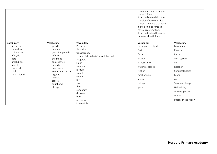|                                                                                                                                      |                                                                                                                                                                                                    |                                                                                                                                                                                                                                                          | I can understand how gears<br>transmit force.<br>I can understand that the<br>transfer of force is called<br>transmission and that gears<br>allow a smaller force to<br>have a greater effect.<br>I can understand how gear<br>ratios work with force. |                                                                                                                                                                                                         |
|--------------------------------------------------------------------------------------------------------------------------------------|----------------------------------------------------------------------------------------------------------------------------------------------------------------------------------------------------|----------------------------------------------------------------------------------------------------------------------------------------------------------------------------------------------------------------------------------------------------------|--------------------------------------------------------------------------------------------------------------------------------------------------------------------------------------------------------------------------------------------------------|---------------------------------------------------------------------------------------------------------------------------------------------------------------------------------------------------------|
| Vocabulary<br>life process<br>reproduce<br>pollination<br>lifecycle<br>data<br>amphibian<br>insect<br>mammal<br>bird<br>Jane Goodall | Vocabulary<br>growth<br>humans<br>gestation periods<br>infancy<br>childhood<br>adolescence<br>puberty<br>pregnancy<br>sexual intercourse<br>hygiene<br>genitals<br>breasts<br>adulthood<br>old age | Vocabulary<br>Properties<br>Solubility<br>transparency<br>conductivity (electrical and thermal)<br>magnets<br>liquid<br>solution<br>mixture<br>soluble<br>solute<br>mix<br>sive<br>filter<br>evaporate<br>dissolve<br>burn<br>reversible<br>irreversible | Vocabulary<br>unsupported objects<br>Earth<br>force<br>gravity<br>air resistance<br>water resistance<br>friction<br>mechanisms<br>levers,<br>pulleys<br>gears                                                                                          | Vocabulary<br>Movement<br>Planets<br>Earth<br>Solar system<br>Sun<br>Rotation<br>Spherical bodies<br>Moon<br>Axis<br>Seasonal changes<br>Habitability<br>Waxing gibbous<br>Waning<br>Phases of the Moon |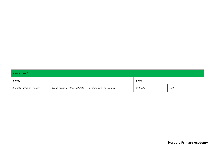| Science: Year 6           |                                  |                           |             |       |  |  |
|---------------------------|----------------------------------|---------------------------|-------------|-------|--|--|
| Physics<br>Biology        |                                  |                           |             |       |  |  |
| Animals, including humans | Living things and their habitats | Evolution and Inheritance | Electricity | Light |  |  |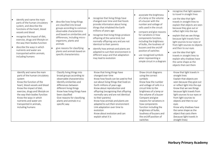| identify and name the main<br>parts of the human circulatory<br>system, and describe the<br>functions of the heart, blood<br>vessels and blood<br>recognise the impact of diet,<br>exercise, drugs and lifestyle on<br>the way their bodies function<br>describe the ways in which<br>nutrients and water are<br>transported within animals,<br>including humans | describe how living things<br>are classified into broad<br>groups according to common<br>observable characteristics<br>and based on similarities and<br>differences, including micro-<br>organisms, plants and<br>animals<br>give reasons for classifying<br>plants and animals based on<br>specific characteristics | $\bullet$<br>$\bullet$<br>$\bullet$ | recognise that living things have<br>changed over time and that fossils<br>provide information about living<br>things that inhabited the Earth<br>millions of years ago<br>recognise that living things produce<br>offspring of the same kind, but<br>normally offspring vary and are not<br>identical to their parents<br>identify how animals and plants are<br>adapted to suit their environment in<br>different ways and that adaptation<br>may lead to evolution            | associate the brightness<br>of a lamp or the volume<br>of a buzzer with the<br>number and voltage of<br>cells used in the circuit<br>compare and give reasons<br>for variations in how<br>components function,<br>including the brightness<br>of bulbs, the loudness of<br>buzzers and the on/off<br>position of switches<br>use recognised symbols<br>when representing a<br>simple circuit in a diagram | recognise that light appears<br>to travel in straight lines<br>use the idea that light<br>travels in straight lines to<br>explain that objects are seen<br>because they give out or<br>reflect light into the eye<br>explain that we see things<br>because light travels from<br>light sources to our eyes or<br>from light sources to objects<br>and then to our eyes<br>use the idea that light<br>travels in straight lines to<br>explain why shadows have<br>the same shape as the<br>objects that cast them |
|------------------------------------------------------------------------------------------------------------------------------------------------------------------------------------------------------------------------------------------------------------------------------------------------------------------------------------------------------------------|----------------------------------------------------------------------------------------------------------------------------------------------------------------------------------------------------------------------------------------------------------------------------------------------------------------------|-------------------------------------|----------------------------------------------------------------------------------------------------------------------------------------------------------------------------------------------------------------------------------------------------------------------------------------------------------------------------------------------------------------------------------------------------------------------------------------------------------------------------------|-----------------------------------------------------------------------------------------------------------------------------------------------------------------------------------------------------------------------------------------------------------------------------------------------------------------------------------------------------------------------------------------------------------|------------------------------------------------------------------------------------------------------------------------------------------------------------------------------------------------------------------------------------------------------------------------------------------------------------------------------------------------------------------------------------------------------------------------------------------------------------------------------------------------------------------|
| Identify and name the main<br>parts of the human circulatory<br>system<br>Know the function of the<br>heart, blood vessels and blood<br>Know the impact of diet,<br>exercise, drugs and lifestyle on<br>the way their bodies function<br>Know the ways in which<br>nutrients and water are<br>transported in animals,<br>including humans                        | Classify living things into<br>broad groups according to<br>observable characteristics<br>Identify similarities and<br>differences between<br>different living things<br>Know how living things have<br>been classified<br>Give reasons for classifying<br>plants and animals in a<br>specific way                   |                                     | Know that living things have<br>changed over time<br>Know how fossils can be used to find<br>out about living things that lived on<br>Earth millions of years ago<br>Know about reproduction and<br>offspring (recognising that offspring<br>normally vary and are not identical<br>to their parents)<br>Know how animals and plants are<br>adapted to suit their environment<br>Link adaptation over time to<br>evolution<br>Know about evolution and can<br>explain what it is | Draw circuit diagrams<br>using the correct<br>symbols<br>Know how the number<br>and voltage of cells in a<br>circuit links to the<br>brightness of a lamp or<br>the volume of a buzzer<br>Compare and give<br>reasons for variations in<br>how components<br>function including the<br>brightness of bulbs,<br>loudness of buzzers and<br>the on/off position of<br>switches                              | Know that light travels in<br>straight lines<br>Explain that objects are<br>seen because they give out<br>or reflect light into the eye<br>Know that we see things<br>because light travels from<br>light sources to our eyes or<br>from light sources to<br>objects and then to our<br>eyes<br>Know why shadows have<br>the same shape as the<br>object that casts them<br>(because light travels in<br>straight lines)                                                                                         |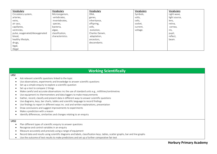| Vocabulary                     | Vocabulary       | Vocabulary      | Vocabulary | Vocabulary    |
|--------------------------------|------------------|-----------------|------------|---------------|
| Circulatory system,            | Microorganism,   | DNA,            | Symbols,   | Light wave,   |
| arteries,                      | vertebrates,     | genes,          | volts,     | light source, |
| veins,                         | invertebrates,   | inheritance,    | cells,     | lens,         |
| air sacs,                      | species,         | offspring,      | socket,    | retina,       |
| capillaries,                   | bacteria,        | cells,          | current,   | cornea,       |
| ventricles,                    | algae,           | evolution,      | voltage.   | iris,         |
| pulse, oxygenated/deoxygenated | classification,  | Charles Darwin, |            | pupil,        |
| blood,                         | characteristics. | adaptation,     |            | reflect,      |
| healthy lifestyle,             |                  | ancestors,      |            | beam.         |
| drugs,                         |                  | descendants.    |            |               |
| legal,                         |                  |                 |            |               |
| illegal                        |                  |                 |            |               |

### **Working Scientifically**

#### LKS2

- Ask relevant scientific questions linked to the topic
- Use observations, experiments and knowledge to answer scientific questions
- Set up a simple enquiry to explore a scientific question
- Set up a test to compare 2 things
- Make careful and accurate observations inc the use of standard units e.g., millilitres/centimetres
- Use equipment inc thermometers and data loggers to make measurements
- Gather, record, classify and present data in different ways to answer scientific questions
- Use diagrams, keys, bar charts, tables and scientific language to record findings
- Use findings to report in different ways inc. oral and written explanations, presentation
- Draw conclusions and suggest improvements to experiments
- Make a prediction with a reason
- Identify differences, similarities and changes relating to an enquiry

#### UKS2

- Plan different types of scientific enquiry to answer questions
- Recognise and control variables in an enquiry
- Measure accurately and precisely using a range of equipment
- Record data and results using scientific diagrams and labels, classification keys, tables, scatter graphs, bar and line graphs
- Use the outcome of test results to make predictions and set up a further comparative fair test